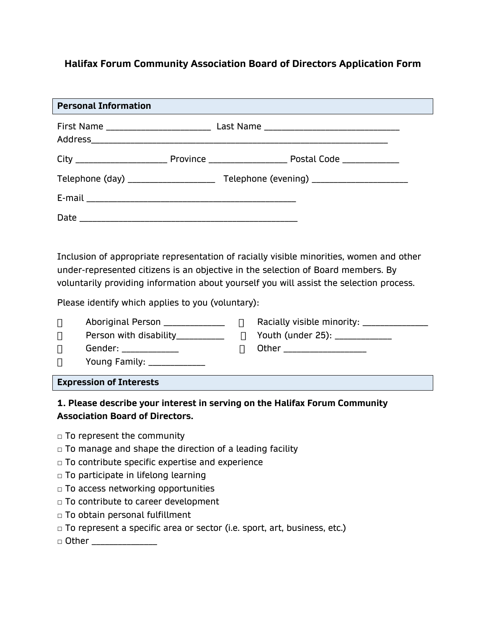# **Halifax Forum Community Association Board of Directors Application Form**

| <b>Personal Information</b>                                                                                                                                                                                                                                                                                                 |        |                                                                                                             |  |
|-----------------------------------------------------------------------------------------------------------------------------------------------------------------------------------------------------------------------------------------------------------------------------------------------------------------------------|--------|-------------------------------------------------------------------------------------------------------------|--|
|                                                                                                                                                                                                                                                                                                                             |        |                                                                                                             |  |
|                                                                                                                                                                                                                                                                                                                             |        |                                                                                                             |  |
|                                                                                                                                                                                                                                                                                                                             |        |                                                                                                             |  |
|                                                                                                                                                                                                                                                                                                                             |        |                                                                                                             |  |
|                                                                                                                                                                                                                                                                                                                             |        |                                                                                                             |  |
| Inclusion of appropriate representation of racially visible minorities, women and other<br>under-represented citizens is an objective in the selection of Board members. By<br>voluntarily providing information about yourself you will assist the selection process.<br>Please identify which applies to you (voluntary): |        |                                                                                                             |  |
|                                                                                                                                                                                                                                                                                                                             |        |                                                                                                             |  |
| Aboriginal Person ___________________ □<br>$\Box$<br>$\Box$<br>Gender: _____________<br>$\Box$<br>Young Family: ______________<br>$\Box$                                                                                                                                                                                    | $\Box$ | Racially visible minority: _______________<br>Youth (under 25): ____________<br>Other _____________________ |  |
| <b>Expression of Interests</b>                                                                                                                                                                                                                                                                                              |        |                                                                                                             |  |
| 1. Please describe your interest in serving on the Halifax Forum Community                                                                                                                                                                                                                                                  |        |                                                                                                             |  |

# **Association Board of Directors.**

- □ To represent the community
- $\Box$  To manage and shape the direction of a leading facility
- $\Box$  To contribute specific expertise and experience
- $\Box$  To participate in lifelong learning
- □ To access networking opportunities
- □ To contribute to career development
- □ To obtain personal fulfillment
- □ To represent a specific area or sector (i.e. sport, art, business, etc.)
- □ Other \_\_\_\_\_\_\_\_\_\_\_\_\_\_\_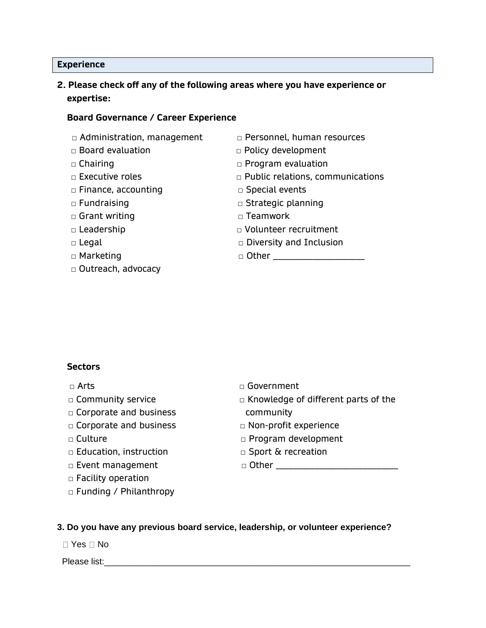#### **Experience**

## **2. Please check off any of the following areas where you have experience or expertise:**

#### **Board Governance / Career Experience**

- □ Administration, management □ Personnel, human resources
- 
- 
- 
- □ Finance, accounting □ Special events
- 
- □ Grant writing □ □ □ Teamwork
- 
- 
- 
- □ Outreach, advocacy
- 
- □ Board evaluation □ □ Policy development
- □ Chairing □ Program evaluation
- □ Executive roles □ Public relations, communications
	-
- □ Fundraising □ Denoming □ Strategic planning
	-
- □ Leadership □ Volunteer recruitment
- □ Legal □ Diversity and Inclusion
- □ Marketing □ Other \_\_\_\_\_\_\_\_\_\_\_\_\_\_\_\_\_\_\_\_\_

#### **Sectors**

- 
- 
- □ Corporate and business community
- □ Corporate and business □ Non-profit experience
- 
- □ Education, instruction □ □ Sport & recreation
- 
- □ Facility operation
- □ Funding / Philanthropy
- □ Arts □ Covernment
- □ Community service □ □ Knowledge of different parts of the
	-
- □ Culture □ Program development
	-

□ Event management □ Other \_\_\_\_\_\_\_\_\_\_\_\_\_\_\_\_\_\_\_\_\_\_\_\_\_\_\_\_

#### **3. Do you have any previous board service, leadership, or volunteer experience?**

 $\Box$  Yes  $\Box$  No

Please list: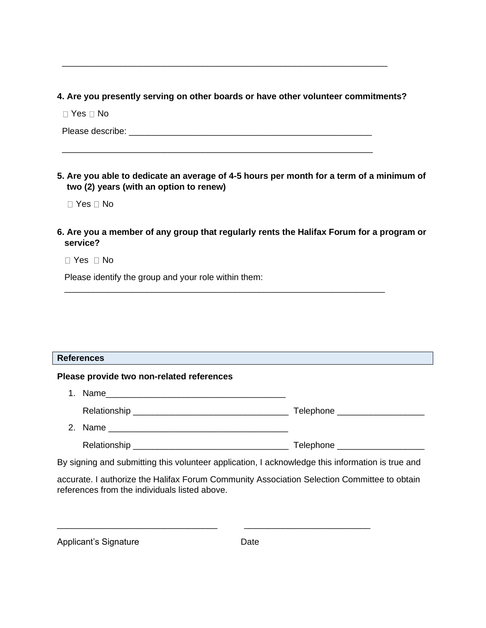### **4. Are you presently serving on other boards or have other volunteer commitments?**

 $\overline{\phantom{a}}$  , and the contribution of the contribution of the contribution of the contribution of the contribution of the contribution of the contribution of the contribution of the contribution of the contribution of the

\_\_\_\_\_\_\_\_\_\_\_\_\_\_\_\_\_\_\_\_\_\_\_\_\_\_\_\_\_\_\_\_\_\_\_\_\_\_\_\_\_\_\_\_\_\_\_\_\_\_\_\_\_\_\_\_\_\_\_\_\_\_\_\_

 $\Box$  Yes  $\Box$  No

Please describe:  $\blacksquare$ 

**5. Are you able to dedicate an average of 4-5 hours per month for a term of a minimum of two (2) years (with an option to renew)** 

■ Yes □ No

## **6. Are you a member of any group that regularly rents the Halifax Forum for a program or service?**

 $\overline{\phantom{a}}$  , and the contribution of the contribution of the contribution of the contribution of the contribution of the contribution of the contribution of the contribution of the contribution of the contribution of the

 $\Box$  Yes  $\Box$  No

Please identify the group and your role within them:

#### **References**

#### **Please provide two non-related references**

- 1. Name\_\_\_\_\_\_\_\_\_\_\_\_\_\_\_\_\_\_\_\_\_\_\_\_\_\_\_\_\_\_\_\_\_\_\_\_\_ Relationship \_\_\_\_\_\_\_\_\_\_\_\_\_\_\_\_\_\_\_\_\_\_\_\_\_\_\_\_\_\_\_\_ Telephone \_\_\_\_\_\_\_\_\_\_\_\_\_\_\_\_\_\_ 2. Name \_\_\_\_\_\_\_\_\_\_\_\_\_\_\_\_\_\_\_\_\_\_\_\_\_\_\_\_\_\_\_\_\_\_\_\_\_
	- Relationship \_\_\_\_\_\_\_\_\_\_\_\_\_\_\_\_\_\_\_\_\_\_\_\_\_\_\_\_\_\_\_\_ Telephone \_\_\_\_\_\_\_\_\_\_\_\_\_\_\_\_\_\_

By signing and submitting this volunteer application, I acknowledge this information is true and

accurate. I authorize the Halifax Forum Community Association Selection Committee to obtain references from the individuals listed above.

\_\_\_\_\_\_\_\_\_\_\_\_\_\_\_\_\_\_\_\_\_\_\_\_\_\_\_\_\_\_\_\_\_ \_\_\_\_\_\_\_\_\_\_\_\_\_\_\_\_\_\_\_\_\_\_\_\_\_\_

| Applicant's Signature | Date |
|-----------------------|------|
|                       |      |